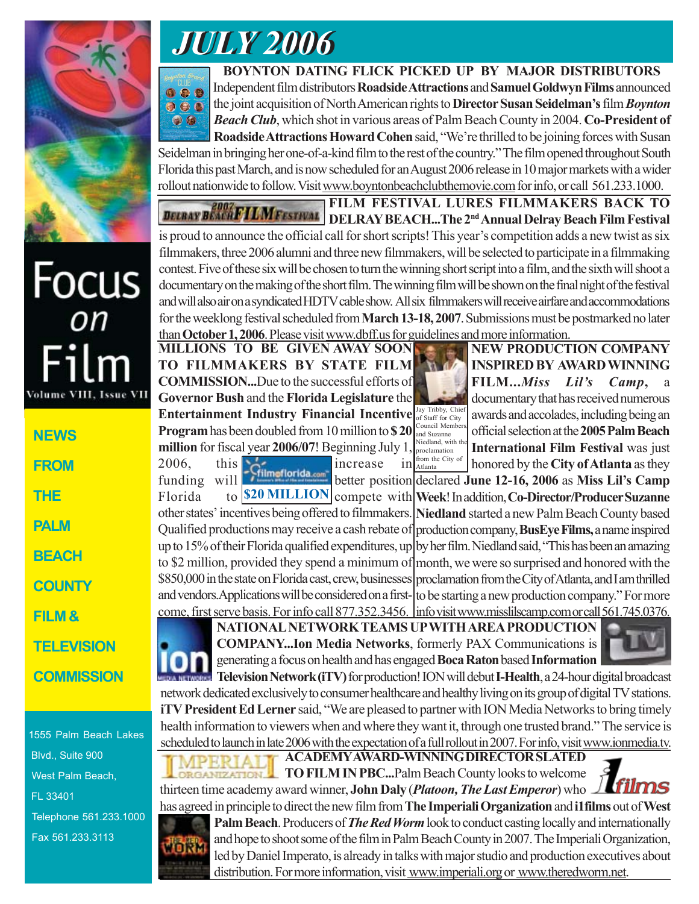

Focus<br><sup>on</sup>

Film

**NEWS**

Volume VIII.

**FROM**

**THE**

**PALM**

**BEACH**

**COUNTY**

**FILM &**

## *JULY 2006 JULY 2006*

**BOYNTON DATING FLICK PICKED UP BY MAJOR DISTRIBUTORS** Independent film distributors **Roadside Attractions** and **Samuel Goldwyn Films** announced 009 the joint acquisition of North American rights to **Director Susan Seidelman's** film *Boynton*  $\bullet\bullet\bullet$ *Beach Club*, which shot in various areas of Palm Beach County in 2004. **Co-President of**  $\bullet$ **Roadside Attractions Howard Cohen** said, "We're thrilled to be joining forces with Susan

Seidelman in bringing her one-of-a-kind film to the rest of the country." The film opened throughout South Florida this past March, and is now scheduled for an August 2006 release in 10 major markets with a wider rollout nationwide to follow. Visit www.boyntonbeachclubthemovie.com for info, or call 561.233.1000.

**FILM FESTIVAL LURES FILMMAKERS BACK TO DELBAY BEACHFILMFESTIVAL DELRAY BEACH...The 2nd Annual Delray Beach Film Festival** is proud to announce the official call for short scripts! This year's competition adds a new twist as six filmmakers, three 2006 alumni and three new filmmakers, will be selected to participate in a filmmaking contest. Five of these six will be chosen to turn the winning short script into a film, and the sixth will shoot a documentary on the making of the short film. The winning film will be shown on the final night of the festival and will also air on a syndicated HDTV cable show. All six filmmakers will receive airfare and accommodations for the weeklong festival scheduled from **March 13-18, 2007**. Submissions must be postmarked no later than **October 1, 2006**. Please visit www.dbff.us for guidelines and more information.

**MILLIONS TO BE GIVEN AWAY SOON TO FILMMAKERS BY STATE FILM COMMISSION...**Due to the successful efforts of **Governor Bush** and the **Florida Legislature** the **Entertainment Industry Financial Incentive Program** has been doubled from 10 million to **\$ 20 million** for fiscal year **2006/07**! Beginning July 1,

Jay Tribby, Chie of Staff for City Council Members, and Suzanne Niedland, with the proclamation from the City of

**NEW PRODUCTION COMPANY INSPIRED BY AWARD WINNING FILM...***Miss Lil's Camp*, documentary that has received numerous awards and accolades, including being an official selection at the **2005 Palm Beach International Film Festival** was just honored by the **City of Atlanta** as they

funding will **Funding can** better position declared June 12-16, 2006 as Miss Lil's Camp Florida to **\$20 MILLION** compete with Week! In addition, Co-Director/Producer Suzanne other states' incentives being offered to filmmakers. Niedland started a new Palm Beach County based Qualified productions may receive a cash rebate of production company, **BusEye Films**, a name inspired up to 15% of their Florida qualified expenditures, up by her film. Niedland said, "This has been an amazing to \$2 million, provided they spend a minimum of month, we were so surprised and honored with the proclamation from the City of Atlanta, and I am thrilled \$850,000 in the state on Florida cast, crew, businesses and vendors. Applications will be considered on a first- to be starting a new production company." For more come, first serve basis. For info call 877.352.3456. |info visit www.misslilscamp.com or call 561.745.0376.  $2006$ , this  $\frac{1}{200}$  increase in



**NATIONAL NETWORK TEAMS UP WITH AREA PRODUCTION COMPANY...Ion Media Networks**, formerly PAX Communications is generating a focus on health and has engaged **Boca Raton** based **Information**



**Television Network (iTV)** for production! ION will debut **I-Health**, a 24-hour digital broadcast network dedicated exclusively to consumer healthcare and healthy living on its group of digital TV stations. **iTV President Ed Lerner** said, "We are pleased to partner with ION Media Networks to bring timely health information to viewers when and where they want it, through one trusted brand." The service is scheduled to launch in late 2006 with the expectation of a full rollout in 2007. For info, visit www.ionmedia.tv.

thirteen time academy award winner, **John Daly** (*Platoon, The Last Emperor*) who

**ACADEMY AWARD-WINNING DIRECTOR SLATED TO FILM IN PBC...**Palm Beach County looks to welcome

 Blvd., Suite 900 West Palm Beach, FL 33401 Telephone 561.233.1000 Fax 561.233.3113

1555 Palm Beach Lakes



has agreed in principle to direct the new film from **The Imperiali Organization** and **i1films** out of **West Palm Beach**. Producers of *The Red Worm* look to conduct casting locally and internationally and hope to shoot some of the film in Palm Beach County in 2007. The Imperiali Organization, led by Daniel Imperato, is already in talks with major studio and production executives about distribution. For more information, visit www.imperiali.org or www.theredworm.net.